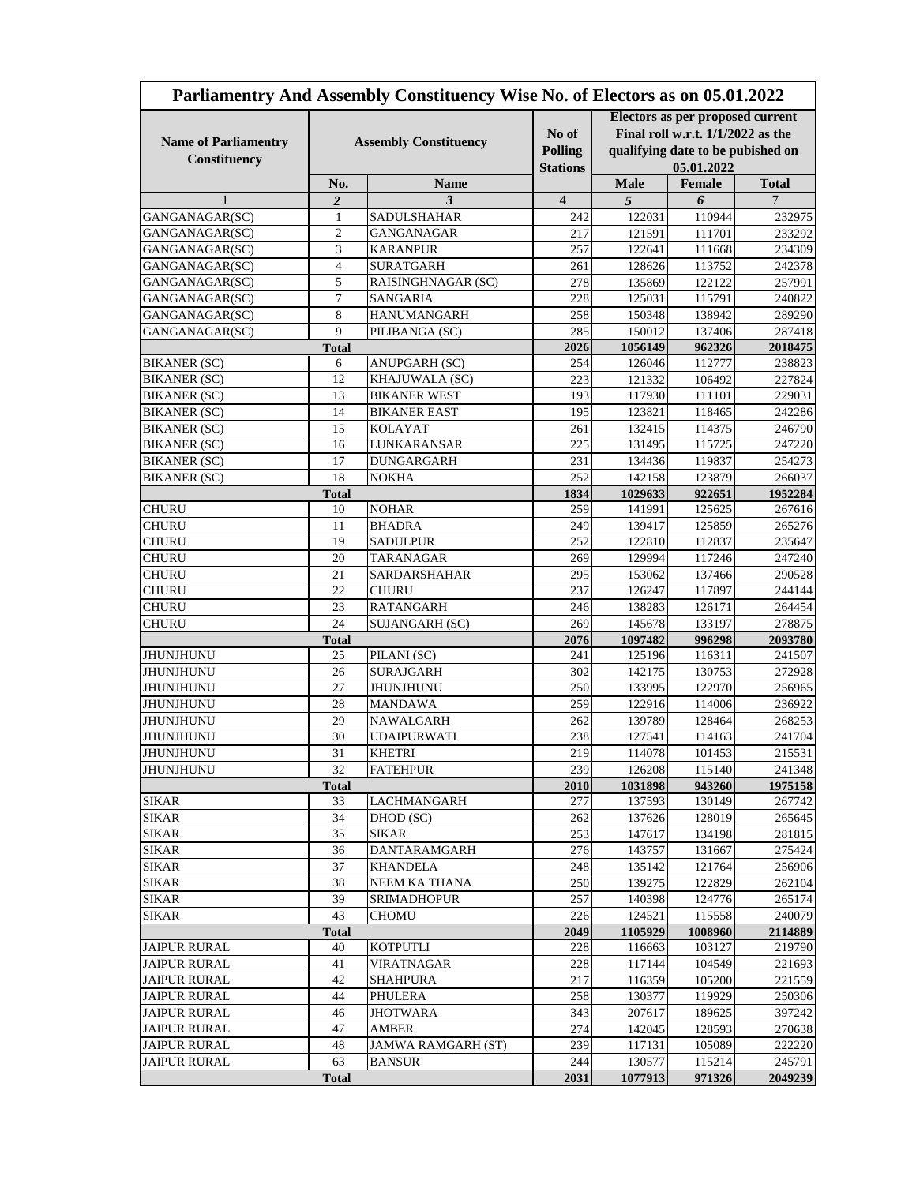| Parliamentry And Assembly Constituency Wise No. of Electors as on 05.01.2022 |                              |                              |                                            |                                                                                                                            |                  |                  |
|------------------------------------------------------------------------------|------------------------------|------------------------------|--------------------------------------------|----------------------------------------------------------------------------------------------------------------------------|------------------|------------------|
| <b>Name of Parliamentry</b><br>Constituency                                  | <b>Assembly Constituency</b> |                              | No of<br><b>Polling</b><br><b>Stations</b> | Electors as per proposed current<br>Final roll w.r.t. $1/1/2022$ as the<br>qualifying date to be pubished on<br>05.01.2022 |                  |                  |
|                                                                              | No.                          | <b>Name</b>                  |                                            | <b>Male</b>                                                                                                                | Female           | <b>Total</b>     |
| $\mathbf{1}$                                                                 | $\overline{2}$               | 3                            | $\overline{4}$                             | $\overline{5}$                                                                                                             | 6                | 7                |
| GANGANAGAR(SC)                                                               | $\mathbf{1}$                 | SADULSHAHAR                  | 242                                        | 122031                                                                                                                     | 110944           | 232975           |
| GANGANAGAR(SC)                                                               | 2                            | <b>GANGANAGAR</b>            | 217                                        | 121591                                                                                                                     | 111701           | 233292           |
| GANGANAGAR(SC)                                                               | 3                            | <b>KARANPUR</b>              | 257                                        | 122641                                                                                                                     | 111668           | 234309           |
| GANGANAGAR(SC)                                                               | 4                            | <b>SURATGARH</b>             | 261                                        | 128626                                                                                                                     | 113752           | 242378           |
| GANGANAGAR(SC)                                                               | 5                            | RAISINGHNAGAR (SC)           | 278                                        | 135869                                                                                                                     | 122122           | 257991           |
| GANGANAGAR(SC)                                                               | 7                            | <b>SANGARIA</b>              | 228                                        | 125031                                                                                                                     | 115791           | 240822           |
| GANGANAGAR(SC)                                                               | 8                            | <b>HANUMANGARH</b>           | 258                                        | 150348                                                                                                                     | 138942           | 289290           |
| GANGANAGAR(SC)                                                               | 9                            | PILIBANGA (SC)               | 285                                        | 150012                                                                                                                     | 137406           | 287418           |
|                                                                              | <b>Total</b>                 |                              | 2026                                       | 1056149                                                                                                                    | 962326           | 2018475          |
| <b>BIKANER (SC)</b>                                                          | 6                            | ANUPGARH (SC)                | 254                                        | 126046                                                                                                                     | 112777           | 238823           |
| <b>BIKANER (SC)</b>                                                          | 12                           | KHAJUWALA (SC)               | 223                                        | 121332                                                                                                                     | 106492           | 227824           |
| <b>BIKANER (SC)</b>                                                          | 13                           | <b>BIKANER WEST</b>          | 193                                        | 117930                                                                                                                     | 111101           | 229031           |
| <b>BIKANER (SC)</b>                                                          | 14                           | <b>BIKANER EAST</b>          | 195                                        | 123821                                                                                                                     | 118465           | 242286           |
| <b>BIKANER (SC)</b>                                                          | 15                           | <b>KOLAYAT</b>               | 261                                        | 132415                                                                                                                     | 114375           | 246790           |
| <b>BIKANER (SC)</b>                                                          | 16                           | LUNKARANSAR                  | 225                                        | 131495                                                                                                                     | 115725           | 247220           |
| <b>BIKANER (SC)</b>                                                          | 17                           | <b>DUNGARGARH</b>            | 231                                        | 134436                                                                                                                     | 119837           | 254273           |
| <b>BIKANER (SC)</b>                                                          | 18                           | <b>NOKHA</b>                 | 252                                        | 142158                                                                                                                     | 123879           | 266037           |
|                                                                              | <b>Total</b>                 |                              | 1834                                       | 1029633                                                                                                                    | 922651           | 1952284          |
| <b>CHURU</b>                                                                 | 10                           | <b>NOHAR</b>                 | 259                                        | 141991                                                                                                                     | 125625           | 267616           |
| <b>CHURU</b>                                                                 | 11<br>19                     | <b>BHADRA</b>                | 249                                        | 139417                                                                                                                     | 125859           | 265276           |
| <b>CHURU</b>                                                                 |                              | <b>SADULPUR</b>              | 252                                        | 122810                                                                                                                     | 112837           | 235647           |
| <b>CHURU</b><br><b>CHURU</b>                                                 | 20<br>21                     | <b>TARANAGAR</b>             | 269                                        | 129994                                                                                                                     | 117246           | 247240<br>290528 |
|                                                                              | 22                           | SARDARSHAHAR<br><b>CHURU</b> | 295                                        | 153062                                                                                                                     | 137466           |                  |
| <b>CHURU</b><br><b>CHURU</b>                                                 | 23                           | <b>RATANGARH</b>             | 237                                        | 126247                                                                                                                     | 117897           | 244144           |
| <b>CHURU</b>                                                                 | 24                           | SUJANGARH (SC)               | 246<br>269                                 | 138283<br>145678                                                                                                           | 126171<br>133197 | 264454<br>278875 |
| <b>Total</b>                                                                 |                              | 2076                         | 1097482                                    | 996298                                                                                                                     | 2093780          |                  |
| <b>JHUNJHUNU</b>                                                             | 25                           | PILANI (SC)                  | 241                                        | 125196                                                                                                                     | 116311           | 241507           |
| JHUNJHUNU                                                                    | 26                           | SURAJGARH                    | 302                                        | 142175                                                                                                                     | 130753           | 272928           |
| JHUNJHUNU                                                                    | 27                           | <b>JHUNJHUNU</b>             | 250                                        | 133995                                                                                                                     | 122970           | 256965           |
| JHUNJHUNU                                                                    | 28                           | <b>MANDAWA</b>               | 259                                        | 122916                                                                                                                     | 114006           | 236922           |
| JHUNJHUNU                                                                    | 29                           | NAWALGARH                    | 262                                        | 139789                                                                                                                     | 128464           | 268253           |
| <b>JHUNJHUNU</b>                                                             | 30                           | <b>UDAIPURWATI</b>           | 238                                        | 127541                                                                                                                     | 114163           | 241704           |
| <b>JHUNJHUNU</b>                                                             | 31                           | <b>KHETRI</b>                | 219                                        | 114078                                                                                                                     | 101453           | 215531           |
| <b>JHUNJHUNU</b>                                                             | 32                           | <b>FATEHPUR</b>              | 239                                        | 126208                                                                                                                     | 115140           | 241348           |
|                                                                              | <b>Total</b>                 |                              | 2010                                       | 1031898                                                                                                                    | 943260           | 1975158          |
| <b>SIKAR</b>                                                                 | 33                           | <b>LACHMANGARH</b>           | 277                                        | 137593                                                                                                                     | 130149           | 267742           |
| <b>SIKAR</b>                                                                 | 34                           | DHOD (SC)                    | 262                                        | 137626                                                                                                                     | 128019           | 265645           |
| <b>SIKAR</b>                                                                 | 35                           | <b>SIKAR</b>                 | 253                                        | 147617                                                                                                                     | 134198           | 281815           |
| <b>SIKAR</b>                                                                 | 36                           | DANTARAMGARH                 | 276                                        | 143757                                                                                                                     | 131667           | 275424           |
| <b>SIKAR</b>                                                                 | 37                           | <b>KHANDELA</b>              | 248                                        | 135142                                                                                                                     | 121764           | 256906           |
| <b>SIKAR</b>                                                                 | 38                           | NEEM KA THANA                | 250                                        | 139275                                                                                                                     | 122829           | 262104           |
| <b>SIKAR</b>                                                                 | 39                           | <b>SRIMADHOPUR</b>           | 257                                        | 140398                                                                                                                     | 124776           | 265174           |
| <b>SIKAR</b>                                                                 | 43                           | <b>CHOMU</b>                 | 226                                        | 124521                                                                                                                     | 115558           | 240079           |
|                                                                              | <b>Total</b>                 |                              | 2049                                       | 1105929                                                                                                                    | 1008960          | 2114889          |
| <b>JAIPUR RURAL</b>                                                          | 40                           | <b>KOTPUTLI</b>              | 228                                        | 116663                                                                                                                     | 103127           | 219790           |
| <b>JAIPUR RURAL</b>                                                          | 41                           | <b>VIRATNAGAR</b>            | 228                                        | 117144                                                                                                                     | 104549           | 221693           |
| <b>JAIPUR RURAL</b>                                                          | 42                           | <b>SHAHPURA</b>              | 217                                        | 116359                                                                                                                     | 105200           | 221559           |
| <b>JAIPUR RURAL</b>                                                          | 44                           | PHULERA                      | 258                                        | 130377                                                                                                                     | 119929           | 250306           |
| <b>JAIPUR RURAL</b>                                                          | 46                           | <b>JHOTWARA</b>              | 343                                        | 207617                                                                                                                     | 189625           | 397242           |
| <b>JAIPUR RURAL</b>                                                          | 47                           | <b>AMBER</b>                 | 274                                        | 142045                                                                                                                     | 128593           | 270638           |
| <b>JAIPUR RURAL</b>                                                          | 48                           | <b>JAMWA RAMGARH (ST)</b>    | 239                                        | 117131                                                                                                                     | 105089           | 222220           |
| <b>JAIPUR RURAL</b>                                                          | 63                           | <b>BANSUR</b>                | 244                                        | 130577                                                                                                                     | 115214           | 245791           |
|                                                                              | <b>Total</b>                 |                              | 2031                                       | 1077913                                                                                                                    | 971326           | 2049239          |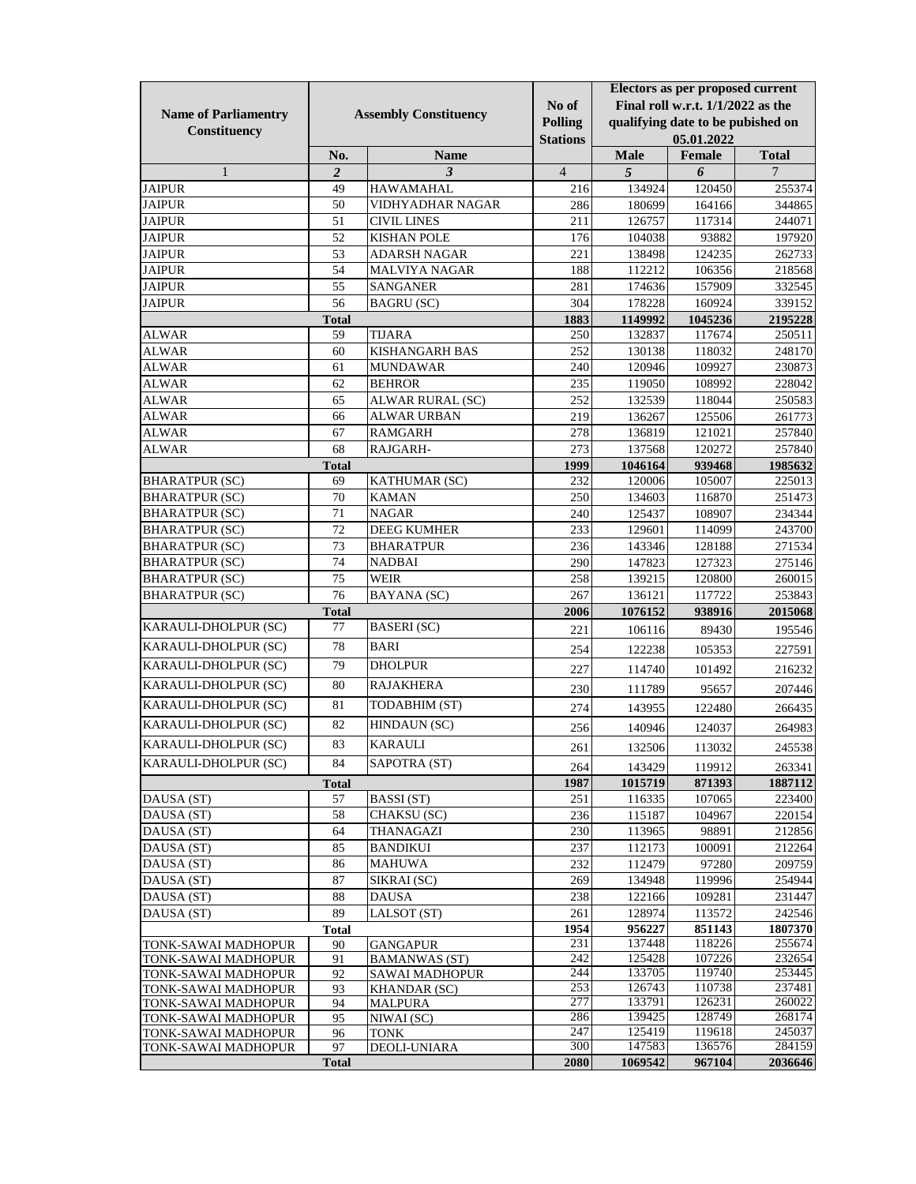|                                            | <b>Assembly Constituency</b> |                                               |                  | Electors as per proposed current  |                                   |                  |
|--------------------------------------------|------------------------------|-----------------------------------------------|------------------|-----------------------------------|-----------------------------------|------------------|
| <b>Name of Parliamentry</b>                |                              |                                               | No of            | Final roll w.r.t. 1/1/2022 as the |                                   |                  |
| Constituency                               |                              |                                               | <b>Polling</b>   |                                   | qualifying date to be pubished on |                  |
|                                            |                              |                                               | <b>Stations</b>  |                                   | 05.01.2022                        |                  |
|                                            | No.                          | <b>Name</b>                                   |                  | <b>Male</b>                       | Female                            | <b>Total</b>     |
| 1                                          | $\overline{2}$               | 3                                             | $\overline{4}$   | 5                                 | 6                                 | 7                |
| <b>JAIPUR</b>                              | 49                           | <b>HAWAMAHAL</b>                              | 216              | 134924                            | 120450                            | 255374           |
| <b>JAIPUR</b>                              | 50                           | <b>VIDHYADHAR NAGAR</b>                       | 286              | 180699                            | 164166                            | 344865           |
| <b>JAIPUR</b>                              | 51                           | <b>CIVIL LINES</b>                            | 211              | 126757                            | 117314                            | 244071           |
| <b>JAIPUR</b>                              | 52                           | <b>KISHAN POLE</b>                            | 176              | 104038                            | 93882                             | 197920           |
| <b>JAIPUR</b>                              | 53                           | <b>ADARSH NAGAR</b>                           | 221              | 138498                            | 124235                            | 262733           |
| JAIPUR                                     | 54                           | <b>MALVIYA NAGAR</b>                          | 188              | 112212                            | 106356                            | 218568           |
| <b>JAIPUR</b>                              | 55                           | <b>SANGANER</b>                               | 281              | 174636                            | 157909                            | 332545           |
| <b>JAIPUR</b>                              | 56                           | <b>BAGRU</b> (SC)                             | 304              | 178228                            | 160924                            | 339152           |
|                                            | <b>Total</b>                 |                                               | 1883             | 1149992                           | 1045236                           | 2195228          |
| <b>ALWAR</b>                               | 59                           | <b>TIJARA</b>                                 | 250              | 132837                            | 117674                            | 250511           |
| ALWAR                                      | 60                           | <b>KISHANGARH BAS</b>                         | 252              | 130138                            | 118032                            | 248170           |
| <b>ALWAR</b>                               | 61                           | <b>MUNDAWAR</b>                               | 240              | 120946                            | 109927                            | 230873           |
| <b>ALWAR</b>                               | 62                           | <b>BEHROR</b>                                 | 235              | 119050                            | 108992                            | 228042           |
| <b>ALWAR</b>                               | 65                           | ALWAR RURAL (SC)                              | 252              | 132539                            | 118044                            | 250583           |
| <b>ALWAR</b>                               | 66                           | <b>ALWAR URBAN</b>                            | 219              | 136267                            | 125506                            | 261773           |
| <b>ALWAR</b>                               | 67                           | <b>RAMGARH</b>                                | 278              | 136819                            | 121021                            | 257840           |
| <b>ALWAR</b>                               | 68                           | RAJGARH-                                      | 273              | 137568                            | 120272                            | 257840           |
|                                            | <b>Total</b>                 |                                               | 1999             | 1046164                           | 939468                            | 1985632          |
| <b>BHARATPUR (SC)</b>                      | 69                           | KATHUMAR (SC)                                 | 232              | 120006                            | 105007                            | 225013           |
| <b>BHARATPUR (SC)</b>                      | 70                           | <b>KAMAN</b>                                  | 250              | 134603                            | 116870                            | 251473           |
| <b>BHARATPUR (SC)</b>                      | 71                           | <b>NAGAR</b>                                  | 240              | 125437                            | 108907                            | 234344           |
| <b>BHARATPUR (SC)</b>                      | 72                           | <b>DEEG KUMHER</b>                            | 233              | 129601                            | 114099                            | 243700           |
| <b>BHARATPUR (SC)</b>                      | 73                           | <b>BHARATPUR</b>                              | 236              | 143346                            | 128188                            | 271534           |
| <b>BHARATPUR (SC)</b>                      | 74                           | <b>NADBAI</b>                                 | 290              | 147823                            | 127323                            | 275146           |
| <b>BHARATPUR (SC)</b>                      | 75                           | <b>WEIR</b>                                   | 258              | 139215                            | 120800                            | 260015           |
| <b>BHARATPUR (SC)</b>                      | 76                           | BAYANA (SC)                                   | 267              | 136121                            | 117722                            | 253843           |
|                                            | <b>Total</b>                 |                                               | 2006             | 1076152                           | 938916                            | 2015068          |
| KARAULI-DHOLPUR (SC)                       | 77                           | <b>BASERI</b> (SC)                            | 221              | 106116                            | 89430                             | 195546           |
| KARAULI-DHOLPUR (SC)                       | 78                           | <b>BARI</b>                                   | 254              | 122238                            | 105353                            | 227591           |
| KARAULI-DHOLPUR (SC)                       | 79                           | <b>DHOLPUR</b>                                | 227              | 114740                            | 101492                            | 216232           |
| KARAULI-DHOLPUR (SC)                       | 80                           | <b>RAJAKHERA</b>                              | 230              | 111789                            | 95657                             | 207446           |
| KARAULI-DHOLPUR (SC)                       | 81                           | TODABHIM (ST)                                 |                  |                                   |                                   |                  |
| KARAULI-DHOLPUR (SC)                       | 82                           | HINDAUN (SC)                                  | 274              | 143955                            | 122480                            | 266435           |
| KARAULI-DHOLPUR (SC)                       | 83                           | <b>KARAULI</b>                                | 256              | 140946                            | 124037                            | 264983           |
|                                            |                              |                                               | 261              | 132506                            | 113032                            | 245538           |
| KARAULI-DHOLPUR (SC)                       | 84                           | SAPOTRA (ST)                                  | 264              | 143429                            | 119912                            | 263341           |
|                                            | <b>Total</b>                 |                                               | 1987             | 1015719                           | 871393                            | 1887112          |
| DAUSA (ST)                                 | 57                           | <b>BASSI</b> (ST)                             | 251              | 116335                            | 107065                            | 223400           |
| DAUSA (ST)                                 | 58                           | CHAKSU (SC)                                   | 236              | 115187                            | 104967                            | 220154           |
| DAUSA (ST)                                 | 64                           | THANAGAZI                                     | 230              | 113965                            | 98891                             | 212856           |
| DAUSA (ST)                                 | 85                           | <b>BANDIKUI</b>                               | 237              | 112173                            | 100091                            | 212264           |
| DAUSA (ST)                                 | 86                           | <b>MAHUWA</b>                                 | 232              | 112479                            | 97280                             | 209759           |
| DAUSA (ST)                                 | 87                           | SIKRAI (SC)                                   | 269              | 134948                            | 119996                            | 254944           |
| DAUSA (ST)                                 | 88                           | <b>DAUSA</b>                                  | 238              | 122166                            | 109281                            | 231447           |
| DAUSA (ST)                                 | 89                           | LALSOT (ST)                                   | 261              | 128974                            | 113572                            | 242546           |
|                                            | <b>Total</b>                 |                                               | 1954             | 956227                            | 851143                            | 1807370          |
| TONK-SAWAI MADHOPUR                        | 90<br>91                     | <b>GANGAPUR</b>                               | 231<br>242       | 137448<br>125428                  | 118226<br>107226                  | 255674<br>232654 |
| TONK-SAWAI MADHOPUR<br>TONK-SAWAI MADHOPUR | 92                           | <b>BAMANWAS (ST)</b><br><b>SAWAI MADHOPUR</b> | 244              | 133705                            | 119740                            | 253445           |
| TONK-SAWAI MADHOPUR                        | 93                           | <b>KHANDAR (SC)</b>                           | 253              | 126743                            | 110738                            | 237481           |
| TONK-SAWAI MADHOPUR                        | 94                           | <b>MALPURA</b>                                | $\overline{277}$ | 133791                            | 126231                            | 260022           |
| TONK-SAWAI MADHOPUR                        | 95                           | NIWAI (SC)                                    | 286              | 139425                            | 128749                            | 268174           |
| TONK-SAWAI MADHOPUR                        | 96                           | <b>TONK</b>                                   | 247              | 125419                            | 119618                            | 245037           |
| TONK-SAWAI MADHOPUR                        | 97                           | <b>DEOLI-UNIARA</b>                           | 300              | 147583                            | 136576                            | 284159           |
|                                            | <b>Total</b>                 |                                               | 2080             | 1069542                           | 967104                            | 2036646          |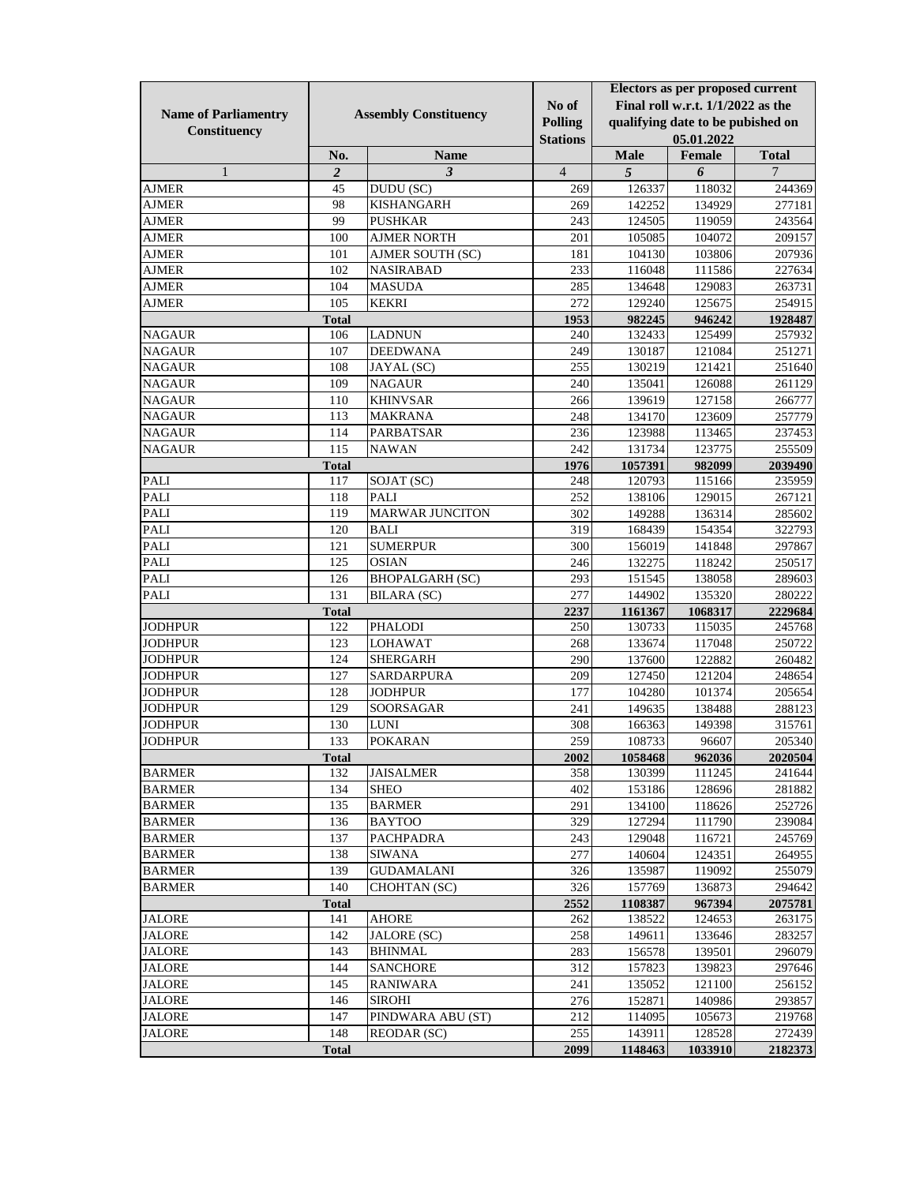|                             | <b>Assembly Constituency</b> |                        |                 | Electors as per proposed current  |                  |                   |
|-----------------------------|------------------------------|------------------------|-----------------|-----------------------------------|------------------|-------------------|
|                             |                              |                        | No of           | Final roll w.r.t. 1/1/2022 as the |                  |                   |
| <b>Name of Parliamentry</b> |                              |                        | Polling         | qualifying date to be pubished on |                  |                   |
| Constituency                |                              |                        | <b>Stations</b> |                                   | 05.01.2022       |                   |
|                             | No.                          | <b>Name</b>            |                 | <b>Male</b>                       | Female           | <b>Total</b>      |
| $\mathbf{1}$                | $\boldsymbol{2}$             | $\mathfrak{z}$         | $\overline{4}$  | $\sqrt{5}$                        | 6                | 7                 |
| <b>AJMER</b>                | 45                           | DUDU (SC)              | 269             | 126337                            | 118032           | 244369            |
| <b>AJMER</b>                | 98                           | <b>KISHANGARH</b>      | 269             | 142252                            | 134929           | 277181            |
| <b>AJMER</b>                | 99                           | <b>PUSHKAR</b>         | 243             | 124505                            | 119059           | 243564            |
| <b>AJMER</b>                | 100                          | <b>AJMER NORTH</b>     | 201             | 105085                            | 104072           | 209157            |
| <b>AJMER</b>                | 101                          | AJMER SOUTH (SC)       | 181             | 104130                            | 103806           | 207936            |
| <b>AJMER</b>                | 102                          | <b>NASIRABAD</b>       | 233             | 116048                            | 111586           | 227634            |
| <b>AJMER</b>                | 104                          | <b>MASUDA</b>          | 285             | 134648                            | 129083           | 263731            |
| <b>AJMER</b>                | 105                          | <b>KEKRI</b>           | 272             | 129240                            | 125675           | 254915            |
|                             | <b>Total</b>                 |                        | 1953            | 982245                            | 946242           | 1928487           |
| <b>NAGAUR</b>               | 106                          | <b>LADNUN</b>          | 240             | 132433                            | 125499           | 257932            |
| <b>NAGAUR</b>               | 107                          | <b>DEEDWANA</b>        | 249             | 130187                            | 121084           | 251271            |
| <b>NAGAUR</b>               | 108                          | JAYAL (SC)             | 255             | 130219                            | 121421           | 251640            |
| <b>NAGAUR</b>               | 109                          | <b>NAGAUR</b>          | 240             | 135041                            | 126088           | 261129            |
| <b>NAGAUR</b>               | 110                          | <b>KHINVSAR</b>        | 266             | 139619                            | 127158           | 266777            |
| <b>NAGAUR</b>               | 113                          | <b>MAKRANA</b>         | 248             | 134170                            | 123609           | 257779            |
| <b>NAGAUR</b>               | 114                          | PARBATSAR              | 236             |                                   |                  |                   |
| <b>NAGAUR</b>               | 115                          | <b>NAWAN</b>           | 242             | 123988                            | 113465           | 237453            |
|                             |                              |                        |                 | 131734                            | 123775           | 255509            |
| PALI                        | <b>Total</b><br>117          |                        | 1976<br>248     | 1057391<br>120793                 | 982099<br>115166 | 2039490<br>235959 |
| <b>PALI</b>                 | 118                          | SOJAT (SC)<br>PALI     |                 |                                   | 129015           |                   |
|                             |                              | <b>MARWAR JUNCITON</b> | 252             | 138106                            |                  | 267121            |
| PALI                        | 119                          |                        | 302             | 149288                            | 136314           | 285602            |
| PALI                        | 120                          | <b>BALI</b>            | 319             | 168439                            | 154354           | 322793            |
| <b>PALI</b>                 | 121                          | <b>SUMERPUR</b>        | 300             | 156019                            | 141848           | 297867            |
| <b>PALI</b>                 | 125                          | <b>OSIAN</b>           | 246             | 132275                            | 118242           | 250517            |
| <b>PALI</b>                 | 126                          | <b>BHOPALGARH (SC)</b> | 293             | 151545                            | 138058           | 289603            |
| PALI                        | 131                          | <b>BILARA</b> (SC)     | 277             | 144902                            | 135320           | 280222            |
|                             | <b>Total</b>                 |                        | 2237            | 1161367                           | 1068317          | 2229684           |
| <b>JODHPUR</b>              | 122                          | <b>PHALODI</b>         | 250             | 130733                            | 115035           | 245768            |
| <b>JODHPUR</b>              | 123                          | <b>LOHAWAT</b>         | 268             | 133674                            | 117048           | 250722            |
| <b>JODHPUR</b>              | 124                          | <b>SHERGARH</b>        | 290             | 137600                            | 122882           | 260482            |
| <b>JODHPUR</b>              | 127                          | SARDARPURA             | 209             | 127450                            | 121204           | 248654            |
| <b>JODHPUR</b>              | 128                          | <b>JODHPUR</b>         | 177             | 104280                            | 101374           | 205654            |
| <b>JODHPUR</b>              | 129                          | SOORSAGAR              | 241             | 149635                            | 138488           | 288123            |
| <b>JODHPUR</b>              | 130                          | <b>LUNI</b>            | 308             | 166363                            | 149398           | 315761            |
| <b>JODHPUR</b>              | 133                          | <b>POKARAN</b>         | 259             | 108733                            | 96607            | 205340            |
|                             | <b>Total</b>                 |                        | 2002            | 1058468                           | 962036           | 2020504           |
| <b>BARMER</b>               | 132                          | <b>JAISALMER</b>       | 358             | 130399                            | 111245           | 241644            |
| <b>BARMER</b>               | 134                          | <b>SHEO</b>            | 402             | 153186                            | 128696           | 281882            |
| <b>BARMER</b>               | 135                          | <b>BARMER</b>          | 291             | 134100                            | 118626           | 252726            |
| <b>BARMER</b>               | 136                          | <b>BAYTOO</b>          | 329             | 127294                            | 111790           | 239084            |
| <b>BARMER</b>               | 137                          | <b>PACHPADRA</b>       | 243             | 129048                            | 116721           | 245769            |
| <b>BARMER</b>               | 138                          | <b>SIWANA</b>          | 277             | 140604                            | 124351           | 264955            |
| BARMER                      | 139                          | GUDAMALANI             | 326             | 135987                            | 119092           | 255079            |
| <b>BARMER</b>               | 140                          | CHOHTAN (SC)           | 326             | 157769                            | 136873           | 294642            |
|                             | <b>Total</b>                 |                        | 2552            | 1108387                           | 967394           | 2075781           |
| <b>JALORE</b>               | 141                          | <b>AHORE</b>           | 262             | 138522                            | 124653           | 263175            |
| <b>JALORE</b>               | 142                          | JALORE (SC)            | 258             | 149611                            | 133646           | 283257            |
| <b>JALORE</b>               | 143                          | <b>BHINMAL</b>         | 283             | 156578                            | 139501           | 296079            |
| <b>JALORE</b>               | 144                          | <b>SANCHORE</b>        | 312             | 157823                            | 139823           | 297646            |
| <b>JALORE</b>               | 145                          | <b>RANIWARA</b>        | 241             | 135052                            | 121100           | 256152            |
| <b>JALORE</b>               | 146                          | <b>SIROHI</b>          | 276             | 152871                            | 140986           | 293857            |
| <b>JALORE</b>               | 147                          | PINDWARA ABU (ST)      | 212             | 114095                            | 105673           | 219768            |
| <b>JALORE</b>               | 148                          | <b>REODAR (SC)</b>     | 255             | 143911                            | 128528           | 272439            |
|                             | <b>Total</b>                 |                        | 2099            | 1148463                           | 1033910          | 2182373           |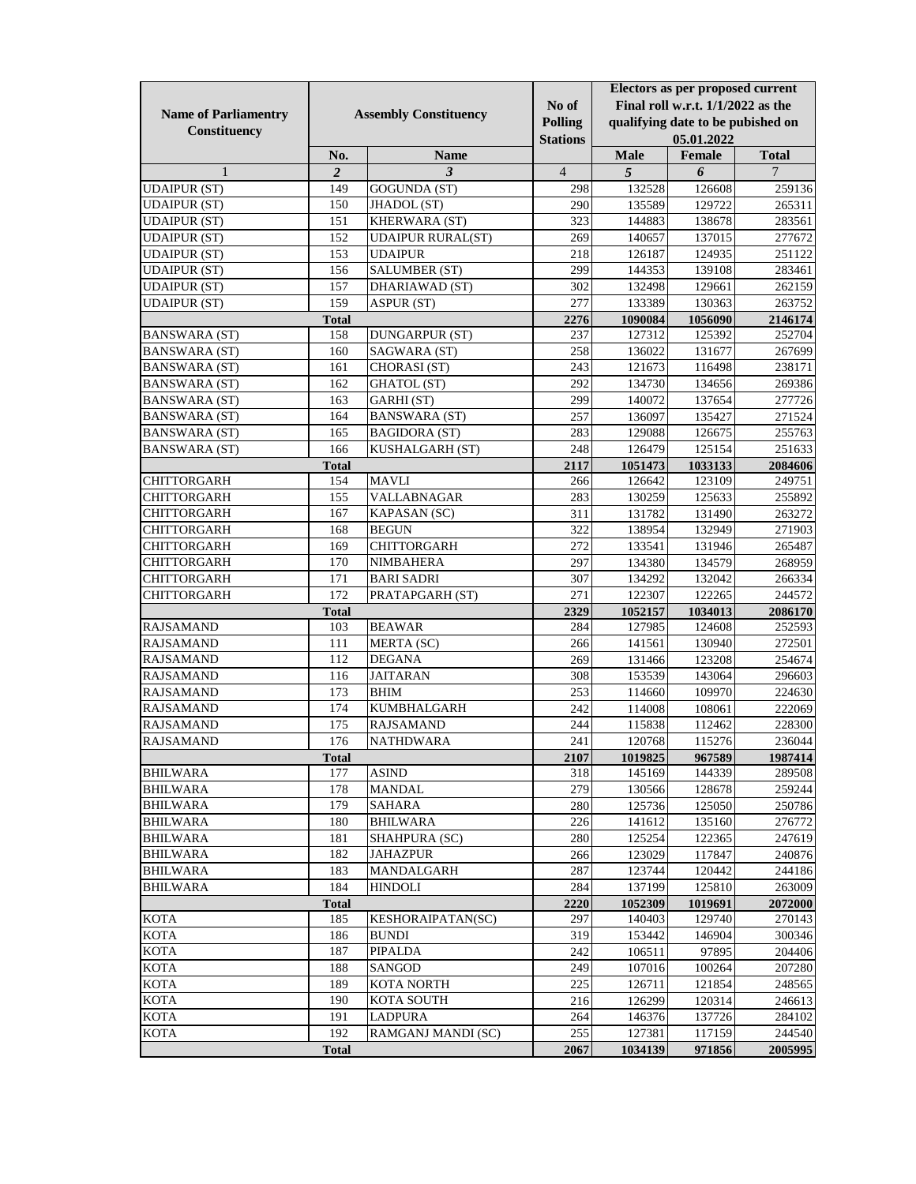|                             |                              |                          |                 |                                   | Electors as per proposed current |              |  |
|-----------------------------|------------------------------|--------------------------|-----------------|-----------------------------------|----------------------------------|--------------|--|
|                             | <b>Assembly Constituency</b> |                          | No of           | Final roll w.r.t. 1/1/2022 as the |                                  |              |  |
| <b>Name of Parliamentry</b> |                              |                          | <b>Polling</b>  | qualifying date to be pubished on |                                  |              |  |
| Constituency                |                              |                          | <b>Stations</b> |                                   | 05.01.2022                       |              |  |
|                             | No.                          | <b>Name</b>              |                 | <b>Male</b>                       | Female                           | <b>Total</b> |  |
| $\mathbf{1}$                | $\boldsymbol{2}$             | $\mathfrak{Z}$           | $\overline{4}$  | 5                                 | 6                                | 7            |  |
| <b>UDAIPUR (ST)</b>         | 149                          | GOGUNDA (ST)             | 298             | 132528                            | 126608                           | 259136       |  |
| <b>UDAIPUR (ST)</b>         | 150                          | JHADOL (ST)              | 290             | 135589                            | 129722                           | 265311       |  |
| <b>UDAIPUR (ST)</b>         | 151                          | KHERWARA (ST)            | 323             | 144883                            | 138678                           | 283561       |  |
| <b>UDAIPUR (ST)</b>         | 152                          | <b>UDAIPUR RURAL(ST)</b> | 269             | 140657                            | 137015                           | 277672       |  |
| <b>UDAIPUR (ST)</b>         | 153                          | <b>UDAIPUR</b>           | 218             | 126187                            | 124935                           | 251122       |  |
| <b>UDAIPUR (ST)</b>         | 156                          | <b>SALUMBER (ST)</b>     | 299             | 144353                            | 139108                           | 283461       |  |
| <b>UDAIPUR (ST)</b>         | 157                          | <b>DHARIAWAD</b> (ST)    | 302             | 132498                            | 129661                           | 262159       |  |
| <b>UDAIPUR (ST)</b>         | 159                          | ASPUR (ST)               | 277             | 133389                            | 130363                           | 263752       |  |
|                             | <b>Total</b>                 |                          | 2276            | 1090084                           | 1056090                          | 2146174      |  |
| <b>BANSWARA (ST)</b>        | 158                          | <b>DUNGARPUR (ST)</b>    | 237             | 127312                            | 125392                           | 252704       |  |
| <b>BANSWARA (ST)</b>        | 160                          | SAGWARA (ST)             | 258             | 136022                            | 131677                           | 267699       |  |
| <b>BANSWARA (ST)</b>        | 161                          | CHORASI (ST)             | 243             | 121673                            | 116498                           | 238171       |  |
| <b>BANSWARA (ST)</b>        | 162                          | <b>GHATOL</b> (ST)       | 292             | 134730                            | 134656                           | 269386       |  |
| <b>BANSWARA (ST)</b>        | 163                          | GARHI (ST)               | 299             | 140072                            | 137654                           | 277726       |  |
| <b>BANSWARA (ST)</b>        | 164                          | <b>BANSWARA (ST)</b>     | 257             | 136097                            | 135427                           | 271524       |  |
| <b>BANSWARA (ST)</b>        | 165                          | <b>BAGIDORA (ST)</b>     | 283             | 129088                            | 126675                           | 255763       |  |
| <b>BANSWARA</b> (ST)        | 166                          | KUSHALGARH (ST)          | 248             | 126479                            | 125154                           | 251633       |  |
|                             | <b>Total</b>                 |                          | 2117            | 1051473                           | 1033133                          | 2084606      |  |
| <b>CHITTORGARH</b>          | 154                          | <b>MAVLI</b>             | 266             | 126642                            | 123109                           | 249751       |  |
| <b>CHITTORGARH</b>          | 155                          | <b>VALLABNAGAR</b>       | 283             | 130259                            | 125633                           | 255892       |  |
| <b>CHITTORGARH</b>          | 167                          | KAPASAN (SC)             | 311             | 131782                            | 131490                           | 263272       |  |
| <b>CHITTORGARH</b>          | 168                          | <b>BEGUN</b>             | 322             | 138954                            | 132949                           | 271903       |  |
| <b>CHITTORGARH</b>          | 169                          | <b>CHITTORGARH</b>       | 272             | 133541                            | 131946                           | 265487       |  |
| CHITTORGARH                 | 170                          | <b>NIMBAHERA</b>         | 297             | 134380                            | 134579                           | 268959       |  |
| <b>CHITTORGARH</b>          | 171                          | <b>BARI SADRI</b>        | 307             | 134292                            | 132042                           | 266334       |  |
| <b>CHITTORGARH</b>          | 172                          | PRATAPGARH (ST)          | 271             | 122307                            | 122265                           | 244572       |  |
|                             | <b>Total</b>                 |                          | 2329            | 1052157                           | 1034013                          | 2086170      |  |
| <b>RAJSAMAND</b>            | 103                          | <b>BEAWAR</b>            | 284             | 127985                            | 124608                           | 252593       |  |
| <b>RAJSAMAND</b>            | 111                          | MERTA (SC)               | 266             | 141561                            | 130940                           | 272501       |  |
| <b>RAJSAMAND</b>            | 112                          | <b>DEGANA</b>            | 269             | 131466                            | 123208                           | 254674       |  |
| <b>RAJSAMAND</b>            | 116                          | <b>JAITARAN</b>          | 308             | 153539                            | 143064                           | 296603       |  |
| <b>RAJSAMAND</b>            | 173                          | <b>BHIM</b>              | 253             | 114660                            | 109970                           | 224630       |  |
| <b>RAJSAMAND</b>            | 174                          | <b>KUMBHALGARH</b>       | 242             | 114008                            | 108061                           | 222069       |  |
| <b>RAJSAMAND</b>            | 175                          | <b>RAJSAMAND</b>         | 244             | 115838                            | 112462                           | 228300       |  |
| <b>RAJSAMAND</b>            | 176                          | <b>NATHDWARA</b>         | 241             | 120768                            | 115276                           | 236044       |  |
|                             | <b>Total</b>                 |                          | 2107            | 1019825                           | 967589                           | 1987414      |  |
| <b>BHILWARA</b>             | 177                          | <b>ASIND</b>             | 318             | 145169                            | 144339                           | 289508       |  |
| <b>BHILWARA</b>             | 178                          | <b>MANDAL</b>            | 279             | 130566                            | 128678                           | 259244       |  |
| <b>BHILWARA</b>             | 179                          | <b>SAHARA</b>            | 280             | 125736                            | 125050                           | 250786       |  |
| <b>BHILWARA</b>             | 180                          | <b>BHILWARA</b>          | 226             | 141612                            | 135160                           | 276772       |  |
| <b>BHILWARA</b>             | 181                          | SHAHPURA (SC)            | 280             | 125254                            | 122365                           | 247619       |  |
| <b>BHILWARA</b>             | 182                          | <b>JAHAZPUR</b>          | 266             | 123029                            | 117847                           | 240876       |  |
| <b>BHILWARA</b>             | 183                          | MANDALGARH               | 287             | 123744                            | 120442                           | 244186       |  |
| <b>BHILWARA</b>             | 184                          | <b>HINDOLI</b>           | 284             | 137199                            | 125810                           | 263009       |  |
|                             | <b>Total</b>                 |                          | 2220            | 1052309                           | 1019691                          | 2072000      |  |
| <b>KOTA</b>                 | 185                          | KESHORAIPATAN(SC)        | 297             | 140403                            | 129740                           | 270143       |  |
| <b>KOTA</b>                 | 186                          | <b>BUNDI</b>             | 319             | 153442                            | 146904                           | 300346       |  |
| KOTA                        | 187                          | PIPALDA                  | 242             | 106511                            | 97895                            | 204406       |  |
| <b>KOTA</b>                 | 188                          | SANGOD                   | 249             | 107016                            | 100264                           | 207280       |  |
| <b>KOTA</b>                 | 189                          | <b>KOTA NORTH</b>        | 225             | 126711                            | 121854                           | 248565       |  |
| <b>KOTA</b>                 | 190                          | <b>KOTA SOUTH</b>        | 216             | 126299                            | 120314                           | 246613       |  |
| <b>KOTA</b>                 | 191                          | <b>LADPURA</b>           | 264             | 146376                            | 137726                           | 284102       |  |
| <b>KOTA</b>                 | 192                          | RAMGANJ MANDI (SC)       | 255             | 127381                            | 117159                           | 244540       |  |
|                             | <b>Total</b>                 |                          | 2067            | 1034139                           | 971856                           | 2005995      |  |